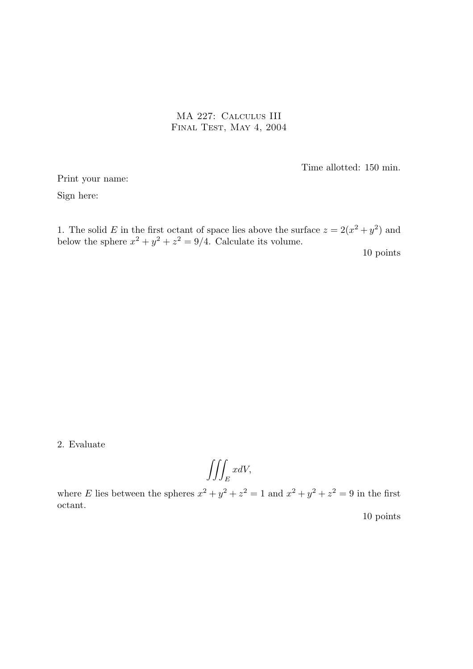MA 227: Calculus III FINAL TEST, MAY 4, 2004

Time allotted: 150 min.

Print your name:

Sign here:

1. The solid E in the first octant of space lies above the surface  $z = 2(x^2 + y^2)$  and below the sphere  $x^2 + y^2 + z^2 = 9/4$ . Calculate its volume.

10 points

2. Evaluate

$$
\iiint_E x dV,
$$

where E lies between the spheres  $x^2 + y^2 + z^2 = 1$  and  $x^2 + y^2 + z^2 = 9$  in the first octant.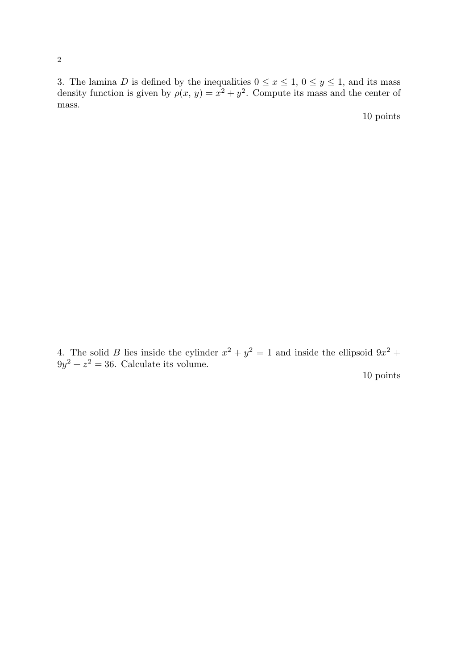3. The lamina D is defined by the inequalities  $0 \le x \le 1$ ,  $0 \le y \le 1$ , and its mass density function is given by  $\rho(x, y) = x^2 + y^2$ . Compute its mass and the center of mass.

10 points

4. The solid B lies inside the cylinder  $x^2 + y^2 = 1$  and inside the ellipsoid  $9x^2 +$  $9y^2 + z^2 = 36$ . Calculate its volume.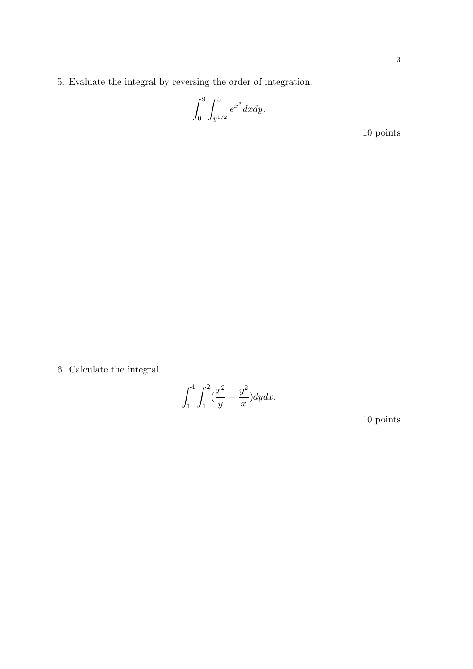5. Evaluate the integral by reversing the order of integration.

$$
\int_0^9 \int_{y^{1/2}}^3 e^{x^3} dx dy.
$$

10 points

6. Calculate the integral

$$
\int_{1}^{4} \int_{1}^{2} (\frac{x^2}{y} + \frac{y^2}{x}) dy dx.
$$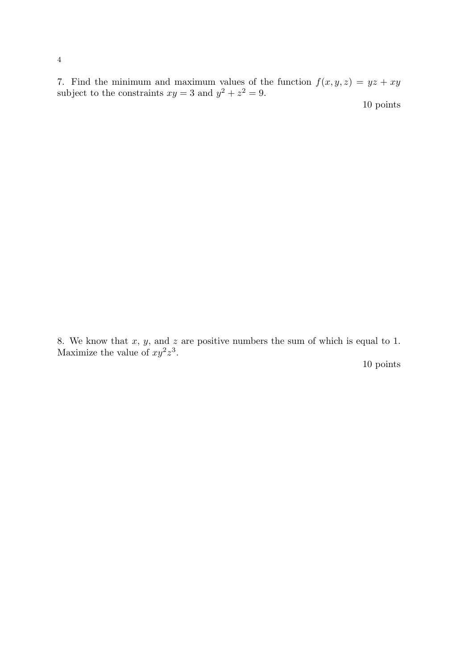7. Find the minimum and maximum values of the function  $f(x, y, z) = yz + xy$ subject to the constraints  $xy = 3$  and  $y^2 + z^2 = 9$ .

10 points

8. We know that  $x, y$ , and  $z$  are positive numbers the sum of which is equal to 1. Maximize the value of  $xy^2z^3$ .